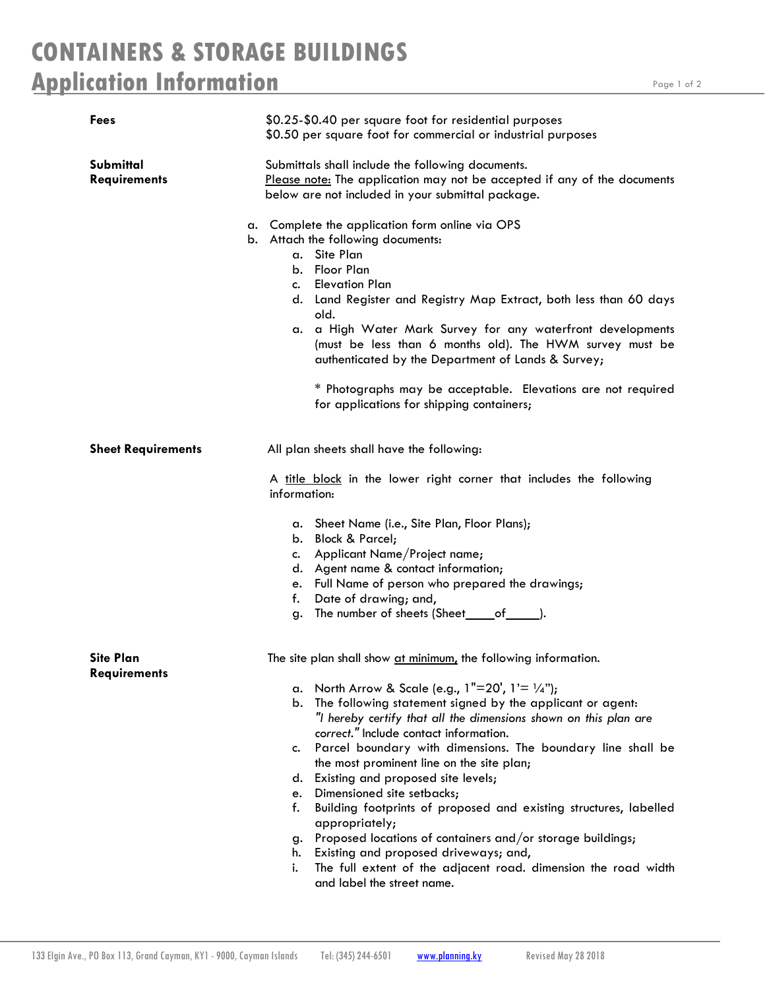## **CONTAINERS & STORAGE BUILDINGS Application Information**

| Fees                                    | \$0.25-\$0.40 per square foot for residential purposes<br>\$0.50 per square foot for commercial or industrial purposes                                                                                                                                                                                                                                                                                                                                                                                                 |
|-----------------------------------------|------------------------------------------------------------------------------------------------------------------------------------------------------------------------------------------------------------------------------------------------------------------------------------------------------------------------------------------------------------------------------------------------------------------------------------------------------------------------------------------------------------------------|
| Submittal<br><b>Requirements</b>        | Submittals shall include the following documents.<br>Please note: The application may not be accepted if any of the documents<br>below are not included in your submittal package.                                                                                                                                                                                                                                                                                                                                     |
|                                         | a. Complete the application form online via OPS<br>b. Attach the following documents:<br>a. Site Plan<br>b. Floor Plan<br>c. Elevation Plan<br>d. Land Register and Registry Map Extract, both less than 60 days<br>old.<br>a. a High Water Mark Survey for any waterfront developments<br>(must be less than 6 months old). The HWM survey must be<br>authenticated by the Department of Lands & Survey;<br>* Photographs may be acceptable. Elevations are not required<br>for applications for shipping containers; |
| <b>Sheet Requirements</b>               | All plan sheets shall have the following:<br>A title block in the lower right corner that includes the following                                                                                                                                                                                                                                                                                                                                                                                                       |
|                                         | information:<br>a. Sheet Name (i.e., Site Plan, Floor Plans);<br>b. Block & Parcel;<br>c. Applicant Name/Project name;<br>d. Agent name & contact information;<br>e. Full Name of person who prepared the drawings;<br>f. Date of drawing; and,<br>g. The number of sheets (Sheet_edf_edget).                                                                                                                                                                                                                          |
| <b>Site Plan</b><br><b>Requirements</b> | The site plan shall show at minimum, the following information.                                                                                                                                                                                                                                                                                                                                                                                                                                                        |
|                                         | a. North Arrow & Scale (e.g., $1"=20'$ , $1'=1/4"$ );<br>b. The following statement signed by the applicant or agent:<br>"I hereby certify that all the dimensions shown on this plan are<br>correct." Include contact information.                                                                                                                                                                                                                                                                                    |
|                                         | Parcel boundary with dimensions. The boundary line shall be<br>c.<br>the most prominent line on the site plan;<br>Existing and proposed site levels;<br>d.<br>e. Dimensioned site setbacks;<br>Building footprints of proposed and existing structures, labelled<br>f.<br>appropriately;                                                                                                                                                                                                                               |
|                                         | Proposed locations of containers and/or storage buildings;<br>g.<br>h. Existing and proposed driveways; and,<br>The full extent of the adjacent road. dimension the road width<br>i.<br>and label the street name.                                                                                                                                                                                                                                                                                                     |